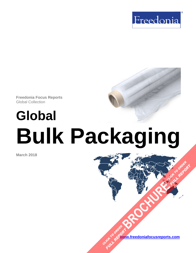

**Freedonia Focus Reports**  Global Collection

# **Global Bulk Packaging**

**March 2018**

**www.freedoniafocusreports.com** CLICK TO ORDER **FULL REPORT** 

**[BROCHURE](https://www.freedoniafocusreports.com/Global-Bulk-Packaging-FW30052/?progid=89541) CLICK TO ORDER** 

**FULL REPORT**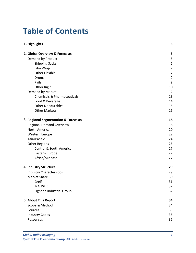# **Table of Contents**

| 1. Highlights                          |                |  |
|----------------------------------------|----------------|--|
| 2. Global Overview & Forecasts         | 5              |  |
| Demand by Product                      | 5              |  |
| <b>Shipping Sacks</b>                  | 6              |  |
| Film Wrap                              | 7              |  |
| <b>Other Flexible</b>                  | $\overline{7}$ |  |
| Drums                                  | 9              |  |
| Pails                                  | 9              |  |
| Other Rigid                            | 10             |  |
| Demand by Market                       | 12             |  |
| <b>Chemicals &amp; Pharmaceuticals</b> | 13             |  |
| Food & Beverage                        | 14             |  |
| <b>Other Nondurables</b>               | 15             |  |
| <b>Other Markets</b>                   | 16             |  |
| 3. Regional Segmentation & Forecasts   | 18             |  |
| <b>Regional Demand Overview</b>        | 18             |  |
| North America                          | 20             |  |
| Western Europe                         | 22             |  |
| Asia/Pacific                           | 24             |  |
| <b>Other Regions</b>                   | 26             |  |
| <b>Central &amp; South America</b>     | 27             |  |
| Eastern Europe                         | 27             |  |
| Africa/Mideast                         | 27             |  |
| 4. Industry Structure                  | 29             |  |
| <b>Industry Characteristics</b>        | 29             |  |
| <b>Market Share</b>                    | 30             |  |
| Greif                                  | 31             |  |
| <b>MAUSER</b>                          | 32             |  |
| Signode Industrial Group               | 32             |  |
| 5. About This Report                   | 34             |  |
| Scope & Method                         | 34             |  |
| Sources                                | 35             |  |
| <b>Industry Codes</b>                  | 35             |  |
| Resources                              | 36             |  |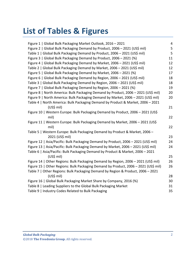# **List of Tables & Figures**

| Figure 1   Global Bulk Packaging Market Outlook, 2016 - 2021                        | 4  |
|-------------------------------------------------------------------------------------|----|
| Figure 2   Global Bulk Packaging Demand by Product, 2006 - 2021 (US\$ mil)          | 5  |
| Table 1   Global Bulk Packaging Demand by Product, 2006 - 2021 (US\$ mil)           | 5  |
| Figure 3   Global Bulk Packaging Demand by Product, 2006 - 2021 (%)                 | 11 |
| Figure 4   Global Bulk Packaging Demand by Market, 2006 - 2021 (US\$ mil)           | 12 |
| Table 2   Global Bulk Packaging Demand by Market, 2006 - 2021 (US\$ mil)            | 12 |
| Figure 5   Global Bulk Packaging Demand by Market, 2006 - 2021 (%)                  | 17 |
| Figure 6   Global Bulk Packaging Demand by Region, 2006 - 2021 (US\$ mil)           | 18 |
| Table 3   Global Bulk Packaging Demand by Region, 2006 - 2021 (US\$ mil)            | 18 |
| Figure 7   Global Bulk Packaging Demand by Region, 2006 - 2021 (%)                  | 19 |
| Figure 8   North America: Bulk Packaging Demand by Product, 2006 - 2021 (US\$ mil)  | 20 |
| Figure 9   North America: Bulk Packaging Demand by Market, 2006 - 2021 (US\$ mil)   | 20 |
| Table 4   North America: Bulk Packaging Demand by Product & Market, 2006 - 2021     |    |
| (US\$ mil)                                                                          | 21 |
| Figure 10   Western Europe: Bulk Packaging Demand by Product, 2006 - 2021 (US\$     |    |
| mil)                                                                                | 22 |
| Figure 11   Western Europe: Bulk Packaging Demand by Market, 2006 - 2021 (US\$      |    |
| mil)                                                                                | 22 |
| Table 5   Western Europe: Bulk Packaging Demand by Product & Market, 2006 -         |    |
| 2021 (US\$ mil)                                                                     | 23 |
| Figure 12   Asia/Pacific: Bulk Packaging Demand by Product, 2006 - 2021 (US\$ mil)  | 24 |
| Figure 13   Asia/Pacific: Bulk Packaging Demand by Market, 2006 - 2021 (US\$ mil)   | 24 |
| Table 6   Asia/Pacific: Bulk Packaging Demand by Product & Market, 2006 - 2021      |    |
| (US\$ mil)                                                                          | 25 |
| Figure 14   Other Regions: Bulk Packaging Demand by Region, 2006 - 2021 (US\$ mil)  | 26 |
| Figure 15   Other Regions: Bulk Packaging Demand by Product, 2006 - 2021 (US\$ mil) | 26 |
| Table 7   Other Regions: Bulk Packaging Demand by Region & Product, 2006 - 2021     |    |
| (US\$ mil)                                                                          | 28 |
| Figure 16   Global Bulk Packaging Market Share by Company, 2016 (%)                 | 30 |
| Table 8   Leading Suppliers to the Global Bulk Packaging Market                     | 31 |
| Table 9   Industry Codes Related to Bulk Packaging                                  | 35 |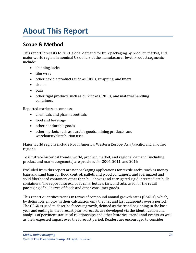# <span id="page-3-0"></span>**About This Report**

# <span id="page-3-1"></span>**Scope & Method**

This report forecasts to 2021 global demand for bulk packaging by product, market, and major world region in nominal US dollars at the manufacturer level. Product segments include:

- shipping sacks
- film wrap
- other flexible products such as FIBCs, strapping, and liners
- drums
- pails
- other rigid products such as bulk boxes, RIBCs, and material handling containers

Reported markets encompass:

- chemicals and pharmaceuticals
- food and beverage
- other nondurable goods
- other markets such as durable goods, mining products, and warehouse/distribution uses.

Major world regions include North America, Western Europe, Asia/Pacific, and all other regions.

To illustrate historical trends, world, product, market, and regional demand (including product and market segments) are provided for 2006, 2011, and 2016.

Excluded from this report are nonpackaging applications for textile sacks, such as money bags and sand bags for flood control; pallets and wood containers; and corrugated and solid fiberboard containers other than bulk boxes and corrugated rigid intermediate bulk containers. The report also excludes cans, bottles, jars, and tubs used for the retail packaging of bulk sizes of foods and other consumer goods.

This report quantifies trends in terms of compound annual growth rates (CAGRs), which, by definition, employ in their calculation only the first and last datapoints over a period. The CAGR is used to describe forecast growth, defined as the trend beginning in the base year and ending in the forecast year. Forecasts are developed via the identification and analysis of pertinent statistical relationships and other historical trends and events, as well as their expected impact over the forecast period. Readers are encouraged to consider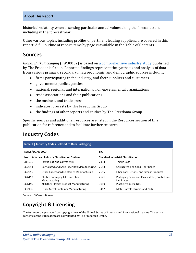#### **About This Report**

historical volatility when assessing particular annual values along the forecast trend, including in the forecast year.

Other various topics, including profiles of pertinent leading suppliers, are covered in this report. A full outline of report items by page is available in the Table of Contents.

# <span id="page-4-0"></span>**Sources**

*Global Bulk Packaging* (FW30052) is based on [a comprehensive industry study](http://www.freedoniagroup.com/DocumentDetails.aspx?ReferrerId=FL-FOCUS&studyid=3612) published by The Freedonia Group. Reported findings represent the synthesis and analysis of data from various primary, secondary, macroeconomic, and demographic sources including:

- firms participating in the industry, and their suppliers and customers
- government/public agencies
- national, regional, and international non-governmental organizations
- trade associations and their publications
- the business and trade press
- indicator forecasts by The Freedonia Group
- the findings of other reports and studies by The Freedonia Group

Specific sources and additional resources are listed in the Resources section of this publication for reference and to facilitate further research.

# <span id="page-4-1"></span>**Industry Codes**

<span id="page-4-2"></span>

| Table 9   Industry Codes Related to Bulk Packaging                                                |                                                    |            |                                                            |  |
|---------------------------------------------------------------------------------------------------|----------------------------------------------------|------------|------------------------------------------------------------|--|
| <b>NAICS/SCIAN 2007</b>                                                                           |                                                    | <b>SIC</b> |                                                            |  |
| <b>Standard Industrial Classification</b><br><b>North American Industry Classification System</b> |                                                    |            |                                                            |  |
| 314910                                                                                            | <b>Textile Bag and Canvas Mills</b>                | 2393       | <b>Textile Bags</b>                                        |  |
| 322211                                                                                            | Corrugated and Solid Fiber Box Manufacturing       | 2653       | Corrugated and Solid Fiber Boxes                           |  |
| 322219                                                                                            | <b>Other Paperboard Container Manufacturing</b>    | 2655       | Fiber Cans, Drums, and Similar Products                    |  |
| 326112                                                                                            | Plastics Packaging Film and Sheet<br>Manufacturing | 2671       | Packaging Paper and Plastics Film, Coated and<br>Laminated |  |
| 326199                                                                                            | All Other Plastics Product Manufacturing           | 3089       | <b>Plastic Products, NEC</b>                               |  |
| 332439                                                                                            | <b>Other Metal Container Manufacturing</b>         | 3412       | Metal Barrels, Drums, and Pails                            |  |

Source: US Census Bureau

# **Copyright & Licensing**

The full report is protected by copyright laws of the United States of America and international treaties. The entire contents of the publication are copyrighted by The Freedonia Group.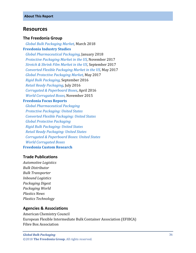# <span id="page-5-0"></span>**Resources**

#### **The Freedonia Group**

 *[Global Bulk Packaging Market,](http://www.freedoniagroup.com/DocumentDetails.aspx?ReferrerId=FL-FOCUS&studyid=3612)* March 2018 **[Freedonia Industry Studies](http://www.freedoniagroup.com/Home.aspx?ReferrerId=FL-Focus)**

 *[Global Pharmaceutical Packaging,](http://www.freedoniagroup.com/DocumentDetails.aspx?ReferrerId=FL-FOCUS&studyid=3591)* January 2018  *[Protective Packaging Market in the US,](http://www.freedoniagroup.com/DocumentDetails.aspx?ReferrerId=FL-FOCUS&studyid=3544)* November 2017  *[Stretch & Shrink Film Market in the US,](http://www.freedoniagroup.com/DocumentDetails.aspx?ReferrerId=FL-FOCUS&studyid=3561)* September 2017  *[Converted Flexible Packaging Market in the US,](http://www.freedoniagroup.com/DocumentDetails.aspx?ReferrerId=FL-FOCUS&studyid=3522)* May 2017  *[Global Protective Packaging Market,](http://www.freedoniagroup.com/DocumentDetails.aspx?ReferrerId=FL-FOCUS&studyid=3511)* May 2017  *[Rigid Bulk Packaging,](http://www.freedoniagroup.com/DocumentDetails.aspx?ReferrerId=FL-FOCUS&studyid=3460)* September 2016  *[Retail Ready Packaging,](http://www.freedoniagroup.com/DocumentDetails.aspx?ReferrerId=FL-FOCUS&studyid=3433)* July 2016  *[Corrugated & Paperboard Boxes,](http://www.freedoniagroup.com/DocumentDetails.aspx?ReferrerId=FL-FOCUS&studyid=3398)* April 2016  *[World Corrugated Boxes,](http://www.freedoniagroup.com/DocumentDetails.aspx?ReferrerId=FL-FOCUS&studyid=3339)* November 2015

#### **[Freedonia Focus Reports](https://www.freedoniafocusreports.com/redirect.asp?progid=89534&url=/)**

 *[Global Pharmaceutical Packaging](https://www.freedoniafocusreports.com/Global-Pharmaceutical-Packaging-FW30018/) [Protective Packaging: United States](https://www.freedoniafocusreports.com/Protective-Packaging-United-States-FF30020/) [Converted Flexible Packaging: United States](https://www.freedoniafocusreports.com/Converted-Flexible-Packaging-United-States-FF30014/) [Global Protective Packaging](https://www.freedoniafocusreports.com/Global-Protective-Packaging-FW30020/) [Rigid Bulk Packaging: United States](https://www.freedoniafocusreports.com/Rigid-Bulk-Packaging-United-States-FF30026/) [Retail Ready Packaging: United States](https://www.freedoniafocusreports.com/Retail-Ready-Packaging-United-States-FF30061/) [Corrugated & Paperboard Boxes: United States](https://www.freedoniafocusreports.com/Corrugated-Paperboard-Boxes-United-States-FF30013/) [World Corrugated Boxes](https://www.freedoniafocusreports.com/World-Corrugated-Boxes-FW30013/)* **[Freedonia Custom Research](http://www.freedoniagroup.com/CustomResearch.aspx?ReferrerId=FL-Focus)**

## **Trade Publications**

*Automotive Logistics Bulk Distributor Bulk Transporter Inbound Logistics Packaging Digest Packaging World Plastics News Plastics Technology*

### **Agencies & Associations**

American Chemistry Council European Flexible Intermediate Bulk Container Association (EFIBCA) Fibre Box Association